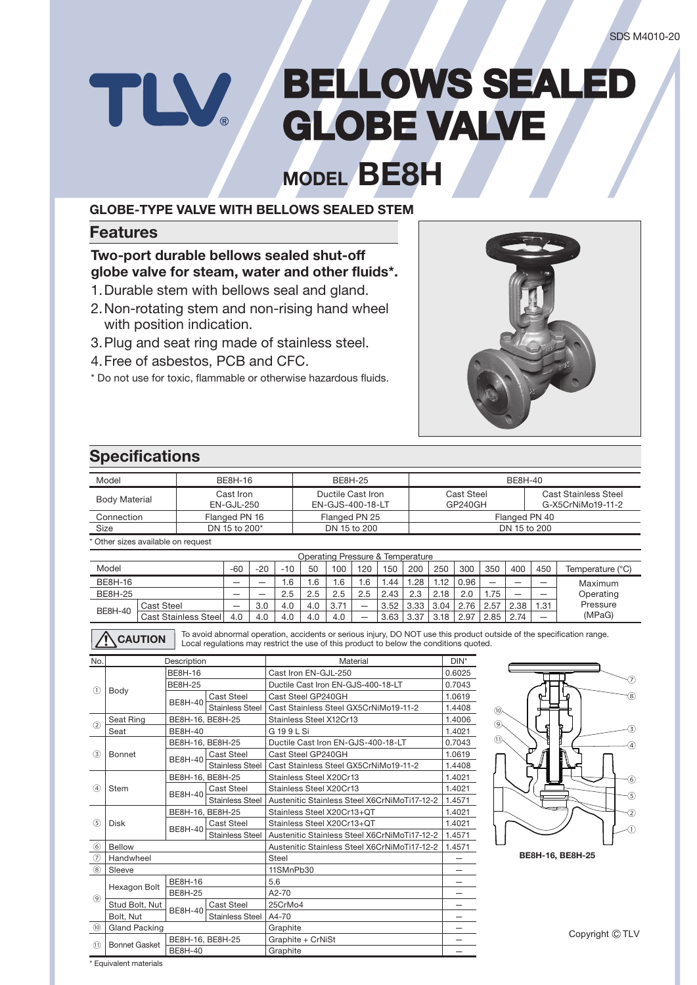# **BELLOWS SEALED** TLV **GLOBE VALVE**

**MODEL BE8H**

#### **GLOBE-TYPE VALVE WITH BELLOWS SEALED STEM**

#### **Features**

#### **Two-port durable bellows sealed shut-off globe valve for steam, water and other fluids\*.**

- 1. Durable stem with bellows seal and gland.
- 2. Non-rotating stem and non-rising hand wheel with position indication.
- 3. Plug and seat ring made of stainless steel.
- 4. Free of asbestos, PCB and CFC.
- \* Do not use for toxic, flammable or otherwise hazardous fluids.



## **Specifications**

| <b>BE8H-16</b><br>Model                                |                                  |                             |                                                                                        |                  | <b>BE8H-25</b>                                                   |                                    |                                  |                   |      |                          | <b>BE8H-40</b>               |                               |                          |                          |                                                  |                                                                                                                                                                                  |         |                 |
|--------------------------------------------------------|----------------------------------|-----------------------------|----------------------------------------------------------------------------------------|------------------|------------------------------------------------------------------|------------------------------------|----------------------------------|-------------------|------|--------------------------|------------------------------|-------------------------------|--------------------------|--------------------------|--------------------------------------------------|----------------------------------------------------------------------------------------------------------------------------------------------------------------------------------|---------|-----------------|
| Cast Iron<br><b>Body Material</b><br><b>EN-GJL-250</b> |                                  |                             |                                                                                        |                  | Ductile Cast Iron<br>EN-GJS-400-18-LT                            |                                    |                                  |                   |      |                          | <b>Cast Steel</b><br>GP240GH |                               |                          |                          | <b>Cast Stainless Steel</b><br>G-X5CrNiMo19-11-2 |                                                                                                                                                                                  |         |                 |
|                                                        | Connection                       |                             | Flanged PN 16                                                                          |                  |                                                                  | Flanged PN 25                      |                                  |                   |      |                          | Flanged PN 40                |                               |                          |                          |                                                  |                                                                                                                                                                                  |         |                 |
| <b>Size</b>                                            |                                  |                             | DN 15 to 200*                                                                          |                  |                                                                  |                                    | DN 15 to 200                     |                   |      |                          |                              |                               |                          | DN 15 to 200             |                                                  |                                                                                                                                                                                  |         |                 |
|                                                        | Other sizes available on request |                             |                                                                                        |                  |                                                                  |                                    |                                  |                   |      |                          |                              |                               |                          |                          |                                                  |                                                                                                                                                                                  |         |                 |
|                                                        |                                  |                             |                                                                                        |                  |                                                                  |                                    | Operating Pressure & Temperature |                   |      |                          |                              |                               |                          |                          |                                                  |                                                                                                                                                                                  |         |                 |
|                                                        | Model                            |                             | -60                                                                                    | $-20$            | $-10$                                                            | 50                                 | 100                              | 120               | 150  | 200                      | 250                          | 300                           | 350                      | 400                      | 450                                              |                                                                                                                                                                                  |         |                 |
|                                                        | <b>BE8H-16</b>                   |                             |                                                                                        |                  | 1.6                                                              | 1.6                                | 1.6                              | 1.6               | 1.44 | 1.28                     | 1.12                         | 0.96                          | $\overline{\phantom{0}}$ | $\overline{\phantom{0}}$ | $\overline{\phantom{0}}$                         |                                                                                                                                                                                  |         |                 |
|                                                        | <b>BE8H-25</b>                   |                             |                                                                                        |                  | 2.5                                                              | 2.5                                | 2.5                              | 2.5               | 2.43 | 2.3                      | 2.18                         | 2.0                           | 1.75                     | $\overline{\phantom{0}}$ |                                                  |                                                                                                                                                                                  |         |                 |
|                                                        | <b>Cast Steel</b>                |                             | $\overline{\phantom{0}}$                                                               | 3.0              | 4.0                                                              | 4.0                                | 3.71                             | $\qquad \qquad -$ | 3.52 | 3.33                     | 3.04                         | 2.76                          | 2.57                     | 2.38                     | 1.31                                             |                                                                                                                                                                                  |         |                 |
|                                                        | <b>BE8H-40</b>                   | <b>Cast Stainless Steel</b> | 4.0                                                                                    | 4.0              | 4.0                                                              | 4.0                                | 4.0                              |                   | 3.63 | 3.37                     | 3.18                         | 2.97                          | 2.85                     | 2.74                     |                                                  |                                                                                                                                                                                  |         |                 |
|                                                        | <b>CAUTION</b>                   |                             | Local requlations may restrict the use of this product to below the conditions quoted. |                  |                                                                  |                                    |                                  |                   |      |                          |                              |                               |                          |                          |                                                  |                                                                                                                                                                                  |         |                 |
| No.                                                    |                                  | Description                 |                                                                                        |                  |                                                                  |                                    |                                  | Material          |      |                          |                              | $DIN^*$                       |                          |                          |                                                  |                                                                                                                                                                                  |         |                 |
|                                                        |                                  | <b>BE8H-16</b>              |                                                                                        |                  |                                                                  |                                    | Cast Iron EN-GJL-250             |                   |      |                          |                              | 0.6025                        |                          |                          |                                                  |                                                                                                                                                                                  |         |                 |
| $\left( \widehat{1}\right)$                            | Body                             | <b>BE8H-25</b>              |                                                                                        |                  | Ductile Cast Iron EN-GJS-400-18-LT                               |                                    |                                  |                   |      |                          | 0.7043                       |                               |                          |                          |                                                  |                                                                                                                                                                                  |         |                 |
|                                                        |                                  | <b>BE8H-40</b>              | <b>Cast Steel</b><br><b>Stainless Steel</b>                                            |                  | Cast Steel GP240GH                                               |                                    |                                  |                   |      |                          |                              | 1.0619<br>1.4408              |                          |                          |                                                  |                                                                                                                                                                                  | 8       |                 |
|                                                        | Seat Ring                        |                             | BE8H-16, BE8H-25                                                                       |                  | Cast Stainless Steel GX5CrNiMo19-11-2<br>Stainless Steel X12Cr13 |                                    |                                  |                   |      |                          | 1.4006                       | (10)                          |                          |                          |                                                  |                                                                                                                                                                                  |         |                 |
| (2)                                                    | Seat                             | <b>BE8H-40</b>              |                                                                                        |                  | G 199L Si                                                        |                                    |                                  |                   |      |                          | 1.4021                       | ⊛                             |                          |                          |                                                  |                                                                                                                                                                                  | ઉ       |                 |
|                                                        | <b>Bonnet</b>                    |                             | BE8H-16, BE8H-25                                                                       |                  |                                                                  | Ductile Cast Iron EN-GJS-400-18-LT |                                  |                   |      |                          |                              | 0.7043                        | (1)                      |                          |                                                  |                                                                                                                                                                                  |         | $\circledA$     |
| (3)                                                    |                                  |                             | <b>Cast Steel</b>                                                                      |                  | Cast Steel GP240GH                                               |                                    |                                  |                   |      |                          | 1.0619                       |                               |                          |                          |                                                  |                                                                                                                                                                                  |         |                 |
|                                                        |                                  | <b>BE8H-40</b>              | <b>Stainless Steel</b>                                                                 |                  | Cast Stainless Steel GX5CrNiMo19-11-2                            |                                    |                                  |                   |      |                          | 1.4408                       |                               |                          |                          | Maximum<br>Operating<br>Pressure<br>(MPaG)       |                                                                                                                                                                                  |         |                 |
|                                                        |                                  |                             | BE8H-16, BE8H-25                                                                       |                  | Stainless Steel X20Cr13                                          |                                    |                                  |                   |      |                          |                              | 1.4021                        |                          |                          |                                                  |                                                                                                                                                                                  |         | $\Theta$        |
| $\left( 4\right)$                                      | <b>Stem</b>                      | <b>BE8H-40</b>              | <b>Cast Steel</b>                                                                      |                  | Stainless Steel X20Cr13                                          |                                    |                                  |                   |      |                          |                              | 1.4021                        |                          |                          |                                                  | Temperature (°C)<br>To avoid abnormal operation, accidents or serious injury, DO NOT use this product outside of the specification range.<br>BE8H-16, BE8H-25<br>Copyright © TLV |         |                 |
|                                                        |                                  |                             | <b>Stainless Steel</b>                                                                 |                  | Austenitic Stainless Steel X6CrNiMoTi17-12-2                     |                                    |                                  |                   |      |                          |                              | 1.4571                        |                          |                          |                                                  |                                                                                                                                                                                  | $\circ$ |                 |
|                                                        |                                  |                             | BE8H-16, BE8H-25                                                                       |                  | Stainless Steel X20Cr13+QT                                       |                                    |                                  |                   |      |                          |                              | 1.4021                        |                          |                          |                                                  |                                                                                                                                                                                  |         | $\triangleleft$ |
| $\circ$                                                | <b>Disk</b>                      | <b>BE8H-40</b>              | <b>Cast Steel</b>                                                                      |                  | Stainless Steel X20Cr13+QT                                       |                                    |                                  |                   |      |                          |                              | 1.4021                        |                          |                          |                                                  |                                                                                                                                                                                  |         | Œ,              |
|                                                        |                                  |                             | <b>Stainless Steel</b>                                                                 |                  | Austenitic Stainless Steel X6CrNiMoTi17-12-2                     |                                    |                                  |                   |      |                          |                              | 1.4571                        |                          |                          |                                                  |                                                                                                                                                                                  |         |                 |
| $\circledast$                                          | <b>Bellow</b>                    |                             |                                                                                        |                  | Austenitic Stainless Steel X6CrNiMoTi17-12-2                     |                                    |                                  |                   |      |                          | 1.4571                       |                               |                          |                          |                                                  |                                                                                                                                                                                  |         |                 |
| $\circledcirc$                                         | Handwheel                        |                             |                                                                                        |                  | Steel                                                            |                                    |                                  |                   |      |                          | $\qquad \qquad -$            |                               |                          |                          |                                                  |                                                                                                                                                                                  |         |                 |
| (8)                                                    | Sleeve                           |                             |                                                                                        |                  | 11SMnPb30                                                        |                                    |                                  |                   |      |                          |                              | -                             |                          |                          |                                                  |                                                                                                                                                                                  |         |                 |
|                                                        | Hexagon Bolt                     | <b>BE8H-25</b>              | <b>BE8H-16</b>                                                                         |                  | 5.6<br>A2-70                                                     |                                    |                                  |                   |      |                          | —                            |                               |                          |                          |                                                  |                                                                                                                                                                                  |         |                 |
| (9)                                                    | Stud Bolt, Nut                   |                             | <b>Cast Steel</b>                                                                      |                  |                                                                  |                                    |                                  |                   |      |                          |                              | —<br>$\overline{\phantom{0}}$ |                          |                          |                                                  |                                                                                                                                                                                  |         |                 |
|                                                        | Bolt, Nut                        | <b>BE8H-40</b>              | <b>Stainless Steel</b>                                                                 | 25CrMo4<br>A4-70 |                                                                  |                                    |                                  |                   |      | $\overline{\phantom{0}}$ |                              |                               |                          |                          |                                                  |                                                                                                                                                                                  |         |                 |
| (1)                                                    | <b>Gland Packing</b>             |                             |                                                                                        |                  | Graphite                                                         |                                    |                                  |                   |      |                          |                              | $\overline{\phantom{0}}$      |                          |                          |                                                  |                                                                                                                                                                                  |         |                 |
|                                                        |                                  |                             | BE8H-16, BE8H-25                                                                       |                  | Graphite + CrNiSt                                                |                                    |                                  |                   |      |                          |                              | —                             |                          |                          |                                                  |                                                                                                                                                                                  |         |                 |
| (1)                                                    | <b>Bonnet Gasket</b>             | <b>BE8H-40</b>              |                                                                                        |                  | Graphite                                                         |                                    |                                  |                   |      |                          |                              |                               |                          |                          |                                                  |                                                                                                                                                                                  |         |                 |

\* Equivalent materials